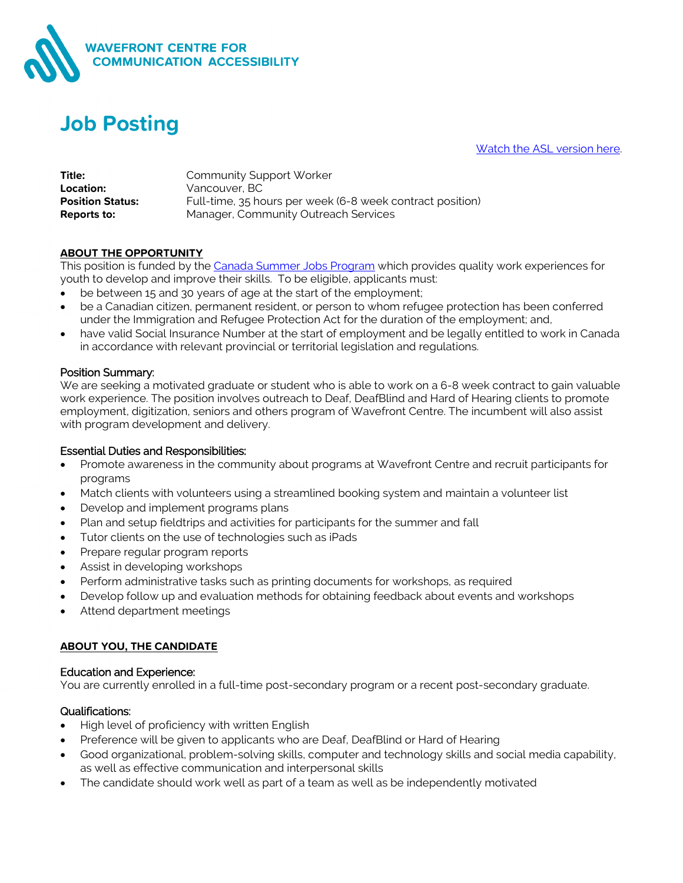

# **Job Posting**

[Watch the ASL version here.](https://youtu.be/PnNQ2ZIYzb8)

| Title:                  | <b>Community Support Worker</b>                           |
|-------------------------|-----------------------------------------------------------|
| Location:               | Vancouver, BC                                             |
| <b>Position Status:</b> | Full-time, 35 hours per week (6-8 week contract position) |
| Reports to:             | Manager, Community Outreach Services                      |

#### **ABOUT THE OPPORTUNITY**

This position is funded by the [Canada Summer Jobs Program](https://www.canada.ca/en/employment-social-development/services/funding/canada-summer-jobs.htm) which provides quality work experiences for youth to develop and improve their skills. To be eligible, applicants must:

- be between 15 and 30 years of age at the start of the employment;
- be a Canadian citizen, permanent resident, or person to whom refugee protection has been conferred under the Immigration and Refugee Protection Act for the duration of the employment; and,
- have valid Social Insurance Number at the start of employment and be legally entitled to work in Canada in accordance with relevant provincial or territorial legislation and regulations.

#### Position Summary:

We are seeking a motivated graduate or student who is able to work on a 6-8 week contract to gain valuable work experience. The position involves outreach to Deaf, DeafBlind and Hard of Hearing clients to promote employment, digitization, seniors and others program of Wavefront Centre. The incumbent will also assist with program development and delivery.

#### Essential Duties and Responsibilities:

- Promote awareness in the community about programs at Wavefront Centre and recruit participants for programs
- Match clients with volunteers using a streamlined booking system and maintain a volunteer list
- Develop and implement programs plans
- Plan and setup fieldtrips and activities for participants for the summer and fall
- Tutor clients on the use of technologies such as iPads
- Prepare regular program reports
- Assist in developing workshops
- Perform administrative tasks such as printing documents for workshops, as required
- Develop follow up and evaluation methods for obtaining feedback about events and workshops
- Attend department meetings

## **ABOUT YOU, THE CANDIDATE**

#### Education and Experience:

You are currently enrolled in a full-time post-secondary program or a recent post-secondary graduate.

# Qualifications:

- High level of proficiency with written English
- Preference will be given to applicants who are Deaf, DeafBlind or Hard of Hearing
- Good organizational, problem-solving skills, computer and technology skills and social media capability, as well as effective communication and interpersonal skills
- The candidate should work well as part of a team as well as be independently motivated